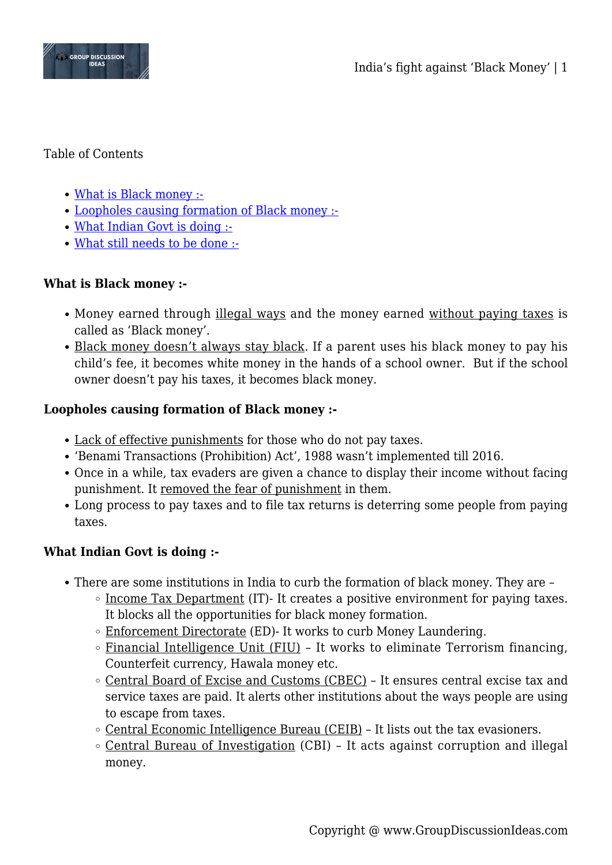

#### Table of Contents

- [What is Black money :-](#page--1-0)
- [Loopholes causing formation of Black money :-](#page--1-0)
- [What Indian Govt is doing :-](#page--1-0)
- [What still needs to be done :-](#page--1-0)

# **What is Black money :-**

- Money earned through illegal ways and the money earned without paying taxes is called as 'Black money'.
- Black money doesn't always stay black. If a parent uses his black money to pay his child's fee, it becomes white money in the hands of a school owner. But if the school owner doesn't pay his taxes, it becomes black money.

## **Loopholes causing formation of Black money :-**

- Lack of effective punishments for those who do not pay taxes.
- 'Benami Transactions (Prohibition) Act', 1988 wasn't implemented till 2016.
- Once in a while, tax evaders are given a chance to display their income without facing punishment. It removed the fear of punishment in them.
- Long process to pay taxes and to file tax returns is deterring some people from paying taxes.

## **What Indian Govt is doing :-**

- There are some institutions in India to curb the formation of black money. They are
	- $\circ$  Income Tax Department (IT)- It creates a positive environment for paying taxes. It blocks all the opportunities for black money formation.
	- Enforcement Directorate (ED)- It works to curb Money Laundering.
	- $\circ$  Financial Intelligence Unit (FIU) It works to eliminate Terrorism financing, Counterfeit currency, Hawala money etc.
	- Central Board of Excise and Customs (CBEC) It ensures central excise tax and service taxes are paid. It alerts other institutions about the ways people are using to escape from taxes.
	- $\circ$  Central Economic Intelligence Bureau (CEIB) It lists out the tax evasioners.
	- Central Bureau of Investigation (CBI) It acts against corruption and illegal money.